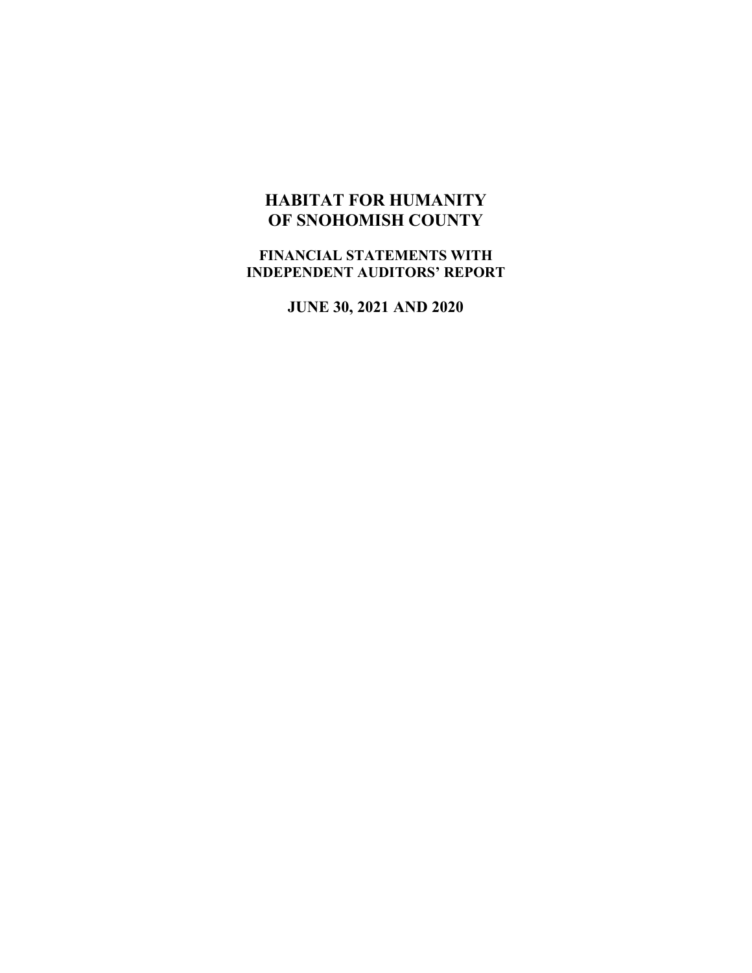# **HABITAT FOR HUMANITY OF SNOHOMISH COUNTY**

**FINANCIAL STATEMENTS WITH INDEPENDENT AUDITORS' REPORT**

**JUNE 30, 2021 AND 2020**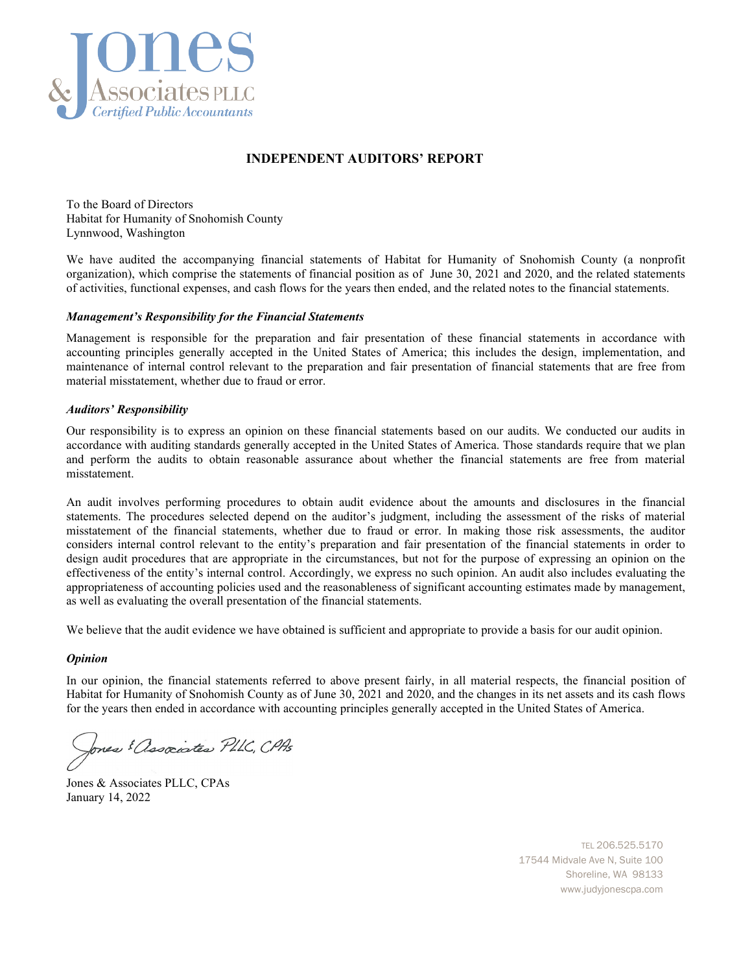

#### **INDEPENDENT AUDITORS' REPORT**

To the Board of Directors Habitat for Humanity of Snohomish County Lynnwood, Washington

We have audited the accompanying financial statements of Habitat for Humanity of Snohomish County (a nonprofit organization), which comprise the statements of financial position as of June 30, 2021 and 2020, and the related statements of activities, functional expenses, and cash flows for the years then ended, and the related notes to the financial statements.

#### *Management's Responsibility for the Financial Statements*

Management is responsible for the preparation and fair presentation of these financial statements in accordance with accounting principles generally accepted in the United States of America; this includes the design, implementation, and maintenance of internal control relevant to the preparation and fair presentation of financial statements that are free from material misstatement, whether due to fraud or error.

#### *Auditors' Responsibility*

Our responsibility is to express an opinion on these financial statements based on our audits. We conducted our audits in accordance with auditing standards generally accepted in the United States of America. Those standards require that we plan and perform the audits to obtain reasonable assurance about whether the financial statements are free from material misstatement.

An audit involves performing procedures to obtain audit evidence about the amounts and disclosures in the financial statements. The procedures selected depend on the auditor's judgment, including the assessment of the risks of material misstatement of the financial statements, whether due to fraud or error. In making those risk assessments, the auditor considers internal control relevant to the entity's preparation and fair presentation of the financial statements in order to design audit procedures that are appropriate in the circumstances, but not for the purpose of expressing an opinion on the effectiveness of the entity's internal control. Accordingly, we express no such opinion. An audit also includes evaluating the appropriateness of accounting policies used and the reasonableness of significant accounting estimates made by management, as well as evaluating the overall presentation of the financial statements.

We believe that the audit evidence we have obtained is sufficient and appropriate to provide a basis for our audit opinion.

#### *Opinion*

In our opinion, the financial statements referred to above present fairly, in all material respects, the financial position of Habitat for Humanity of Snohomish County as of June 30, 2021 and 2020, and the changes in its net assets and its cash flows for the years then ended in accordance with accounting principles generally accepted in the United States of America.

Jones & Associates PLLC, CPAs

Jones & Associates PLLC, CPAs January 14, 2022

TEL 206.525.5170 17544 Midvale Ave N, Suite 100 Shoreline, WA 98133 www.judyjonescpa.com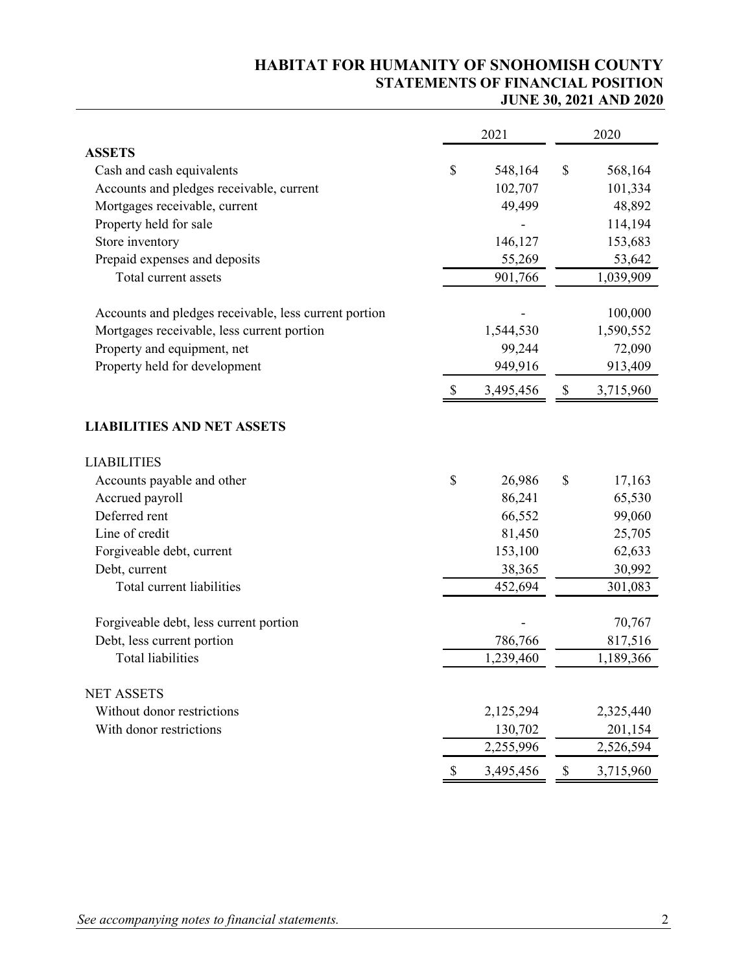## **HABITAT FOR HUMANITY OF SNOHOMISH COUNTY STATEMENTS OF FINANCIAL POSITION JUNE 30, 2021 AND 2020**

|                                                       |                           | 2021      |             | 2020      |
|-------------------------------------------------------|---------------------------|-----------|-------------|-----------|
| <b>ASSETS</b>                                         |                           |           |             |           |
| Cash and cash equivalents                             | \$                        | 548,164   | \$          | 568,164   |
| Accounts and pledges receivable, current              |                           | 102,707   |             | 101,334   |
| Mortgages receivable, current                         |                           | 49,499    |             | 48,892    |
| Property held for sale                                |                           |           |             | 114,194   |
| Store inventory                                       |                           | 146,127   |             | 153,683   |
| Prepaid expenses and deposits                         |                           | 55,269    |             | 53,642    |
| Total current assets                                  |                           | 901,766   |             | 1,039,909 |
| Accounts and pledges receivable, less current portion |                           |           |             | 100,000   |
| Mortgages receivable, less current portion            |                           | 1,544,530 |             | 1,590,552 |
| Property and equipment, net                           |                           | 99,244    |             | 72,090    |
| Property held for development                         |                           | 949,916   |             | 913,409   |
|                                                       | \$                        | 3,495,456 | \$          | 3,715,960 |
| <b>LIABILITIES AND NET ASSETS</b>                     |                           |           |             |           |
| <b>LIABILITIES</b>                                    |                           |           |             |           |
| Accounts payable and other                            | \$                        | 26,986    | \$          | 17,163    |
| Accrued payroll                                       |                           | 86,241    |             | 65,530    |
| Deferred rent                                         |                           | 66,552    |             | 99,060    |
| Line of credit                                        |                           | 81,450    |             | 25,705    |
| Forgiveable debt, current                             |                           | 153,100   |             | 62,633    |
| Debt, current                                         |                           | 38,365    |             | 30,992    |
| Total current liabilities                             |                           | 452,694   |             | 301,083   |
| Forgiveable debt, less current portion                |                           |           |             | 70,767    |
| Debt, less current portion                            |                           | 786,766   |             | 817,516   |
| <b>Total liabilities</b>                              |                           | 1,239,460 |             | 1,189,366 |
| <b>NET ASSETS</b>                                     |                           |           |             |           |
| Without donor restrictions                            |                           | 2,125,294 |             | 2,325,440 |
| With donor restrictions                               |                           | 130,702   |             | 201,154   |
|                                                       |                           | 2,255,996 |             | 2,526,594 |
|                                                       | $\boldsymbol{\mathsf{S}}$ | 3,495,456 | $\mathbb S$ | 3,715,960 |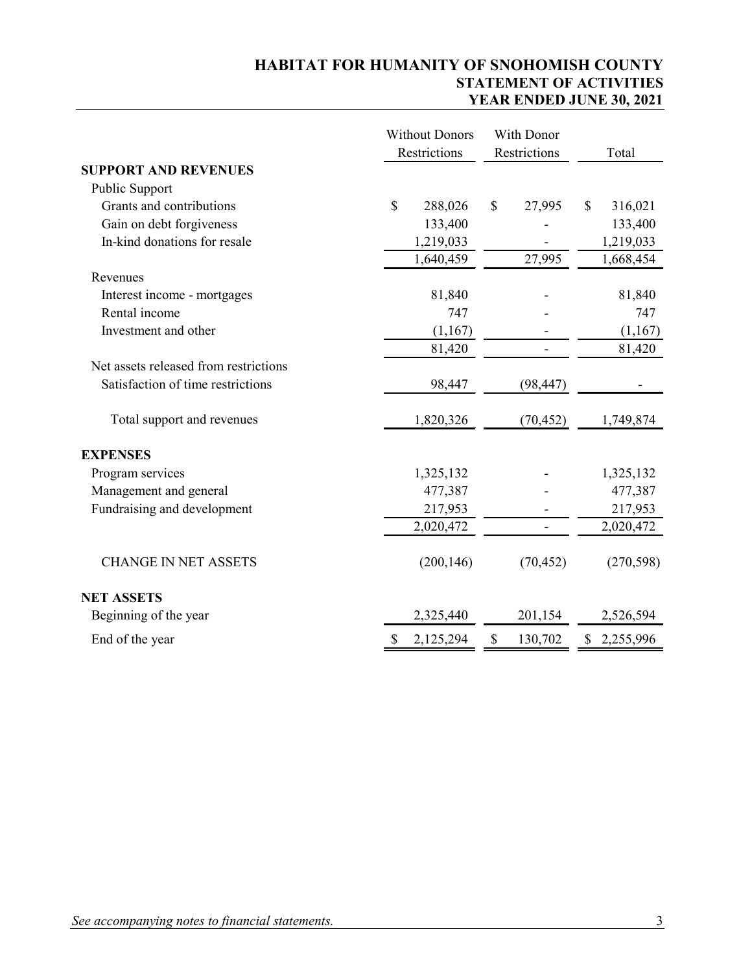## **HABITAT FOR HUMANITY OF SNOHOMISH COUNTY STATEMENT OF ACTIVITIES YEAR ENDED JUNE 30, 2021**

|                                       | <b>Without Donors</b><br>Restrictions | With Donor<br>Restrictions | Total         |
|---------------------------------------|---------------------------------------|----------------------------|---------------|
| <b>SUPPORT AND REVENUES</b>           |                                       |                            |               |
| Public Support                        |                                       |                            |               |
| Grants and contributions              | \$<br>288,026                         | \$<br>27,995               | 316,021<br>\$ |
| Gain on debt forgiveness              | 133,400                               |                            | 133,400       |
| In-kind donations for resale          | 1,219,033                             |                            | 1,219,033     |
|                                       | 1,640,459                             | 27,995                     | 1,668,454     |
| Revenues                              |                                       |                            |               |
| Interest income - mortgages           | 81,840                                |                            | 81,840        |
| Rental income                         | 747                                   |                            | 747           |
| Investment and other                  | (1,167)                               |                            | (1,167)       |
|                                       | 81,420                                |                            | 81,420        |
| Net assets released from restrictions |                                       |                            |               |
| Satisfaction of time restrictions     | 98,447                                | (98, 447)                  |               |
| Total support and revenues            | 1,820,326                             | (70, 452)                  | 1,749,874     |
| <b>EXPENSES</b>                       |                                       |                            |               |
| Program services                      | 1,325,132                             |                            | 1,325,132     |
| Management and general                | 477,387                               |                            | 477,387       |
| Fundraising and development           | 217,953                               |                            | 217,953       |
|                                       | 2,020,472                             | $\overline{\phantom{0}}$   | 2,020,472     |
| <b>CHANGE IN NET ASSETS</b>           | (200, 146)                            | (70, 452)                  | (270, 598)    |
| <b>NET ASSETS</b>                     |                                       |                            |               |
| Beginning of the year                 | 2,325,440                             | 201,154                    | 2,526,594     |
| End of the year                       | $\mathbb{S}$<br>2,125,294             | \$<br>130,702              | \$2,255,996   |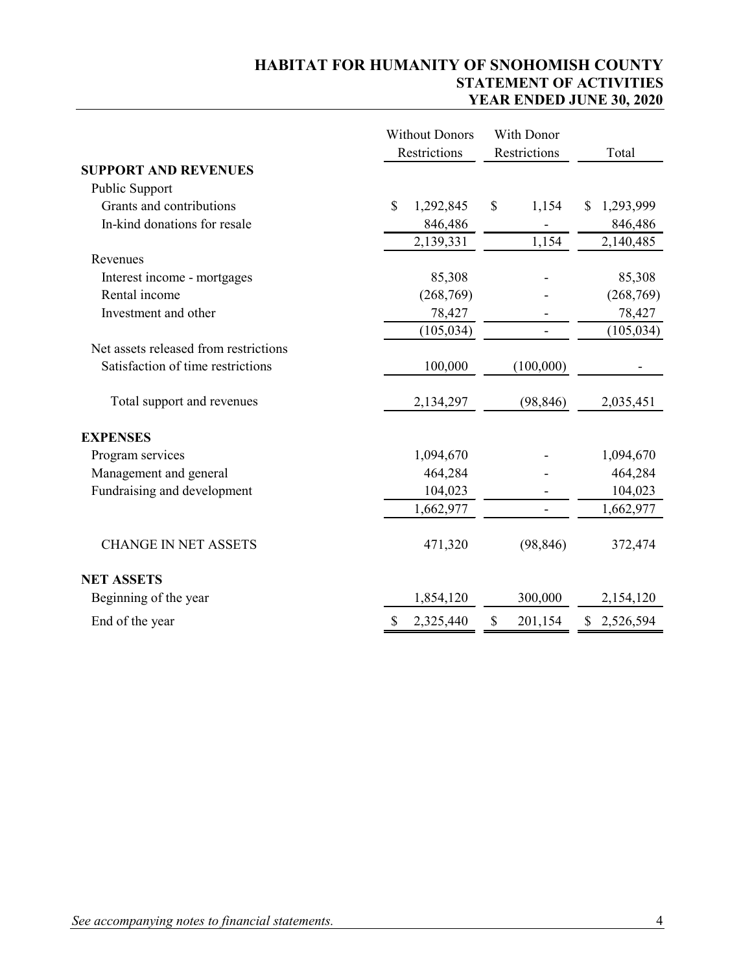## **HABITAT FOR HUMANITY OF SNOHOMISH COUNTY STATEMENT OF ACTIVITIES YEAR ENDED JUNE 30, 2020**

|                                       | <b>Without Donors</b> | With Donor               |                 |
|---------------------------------------|-----------------------|--------------------------|-----------------|
|                                       | Restrictions          | Restrictions             | Total           |
| <b>SUPPORT AND REVENUES</b>           |                       |                          |                 |
| Public Support                        |                       |                          |                 |
| Grants and contributions              | \$<br>1,292,845       | $\mathbb{S}$<br>1,154    | 1,293,999<br>\$ |
| In-kind donations for resale          | 846,486               |                          | 846,486         |
|                                       | 2,139,331             | 1,154                    | 2,140,485       |
| Revenues                              |                       |                          |                 |
| Interest income - mortgages           | 85,308                |                          | 85,308          |
| Rental income                         | (268,769)             |                          | (268, 769)      |
| Investment and other                  | 78,427                |                          | 78,427          |
|                                       | (105, 034)            | $\overline{\phantom{0}}$ | (105, 034)      |
| Net assets released from restrictions |                       |                          |                 |
| Satisfaction of time restrictions     | 100,000               | (100,000)                |                 |
| Total support and revenues            | 2,134,297             | (98, 846)                | 2,035,451       |
| <b>EXPENSES</b>                       |                       |                          |                 |
| Program services                      | 1,094,670             |                          | 1,094,670       |
| Management and general                | 464,284               |                          | 464,284         |
| Fundraising and development           | 104,023               |                          | 104,023         |
|                                       | 1,662,977             |                          | 1,662,977       |
| <b>CHANGE IN NET ASSETS</b>           | 471,320               | (98, 846)                | 372,474         |
| <b>NET ASSETS</b>                     |                       |                          |                 |
| Beginning of the year                 | 1,854,120             | 300,000                  | 2,154,120       |
| End of the year                       | \$<br>2,325,440       | \$<br>201,154            | \$<br>2,526,594 |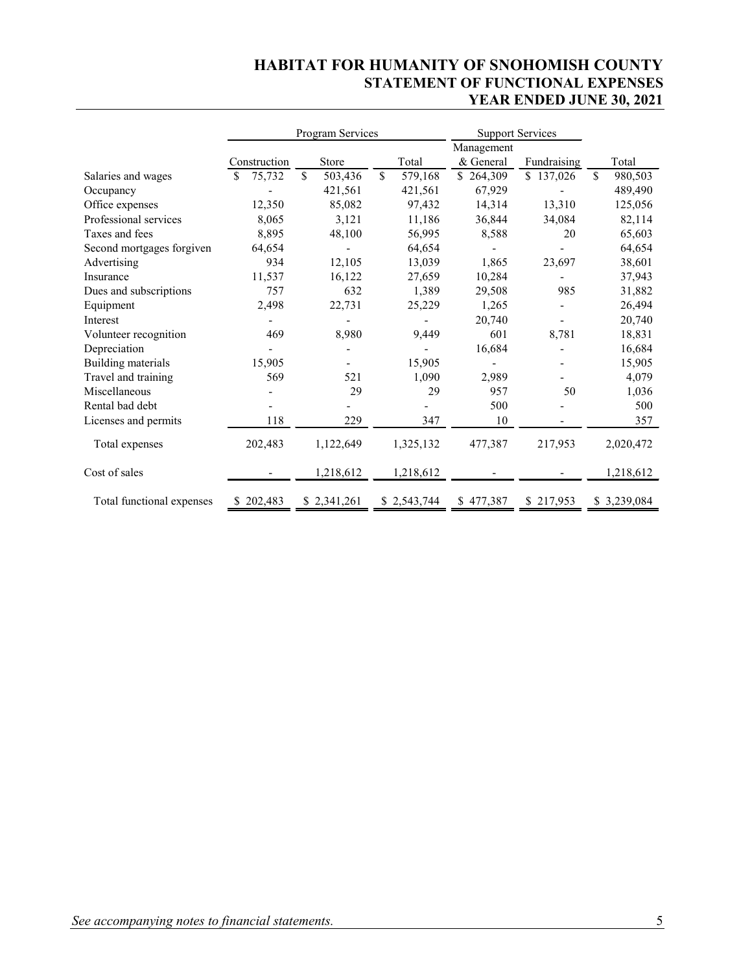## **HABITAT FOR HUMANITY OF SNOHOMISH COUNTY STATEMENT OF FUNCTIONAL EXPENSES YEAR ENDED JUNE 30, 2021**

|                           | Program Services |                | <b>Support Services</b> |            |             |                |
|---------------------------|------------------|----------------|-------------------------|------------|-------------|----------------|
|                           |                  |                |                         | Management |             |                |
|                           | Construction     | Store          | Total                   | & General  | Fundraising | Total          |
| Salaries and wages        | 75,732<br>S      | \$.<br>503,436 | S.<br>579,168           | \$264,309  | \$137,026   | \$.<br>980,503 |
| Occupancy                 |                  | 421,561        | 421,561                 | 67,929     |             | 489,490        |
| Office expenses           | 12,350           | 85,082         | 97,432                  | 14,314     | 13,310      | 125,056        |
| Professional services     | 8,065            | 3,121          | 11,186                  | 36,844     | 34,084      | 82,114         |
| Taxes and fees            | 8,895            | 48,100         | 56,995                  | 8,588      | 20          | 65,603         |
| Second mortgages forgiven | 64,654           |                | 64,654                  |            |             | 64,654         |
| Advertising               | 934              | 12,105         | 13,039                  | 1,865      | 23,697      | 38,601         |
| Insurance                 | 11,537           | 16,122         | 27,659                  | 10,284     |             | 37,943         |
| Dues and subscriptions    | 757              | 632            | 1,389                   | 29,508     | 985         | 31,882         |
| Equipment                 | 2,498            | 22,731         | 25,229                  | 1,265      |             | 26,494         |
| Interest                  |                  |                |                         | 20,740     |             | 20,740         |
| Volunteer recognition     | 469              | 8,980          | 9,449                   | 601        | 8,781       | 18,831         |
| Depreciation              |                  |                |                         | 16,684     |             | 16,684         |
| Building materials        | 15,905           |                | 15,905                  |            |             | 15,905         |
| Travel and training       | 569              | 521            | 1,090                   | 2,989      |             | 4,079          |
| Miscellaneous             |                  | 29             | 29                      | 957        | 50          | 1,036          |
| Rental bad debt           |                  |                |                         | 500        |             | 500            |
| Licenses and permits      | 118              | 229            | 347                     | 10         |             | 357            |
| Total expenses            | 202,483          | 1,122,649      | 1,325,132               | 477,387    | 217,953     | 2,020,472      |
| Cost of sales             |                  | 1,218,612      | 1,218,612               |            |             | 1,218,612      |
| Total functional expenses | 202,483          | \$2,341,261    | \$2,543,744             | \$477,387  | \$217,953   | \$3,239,084    |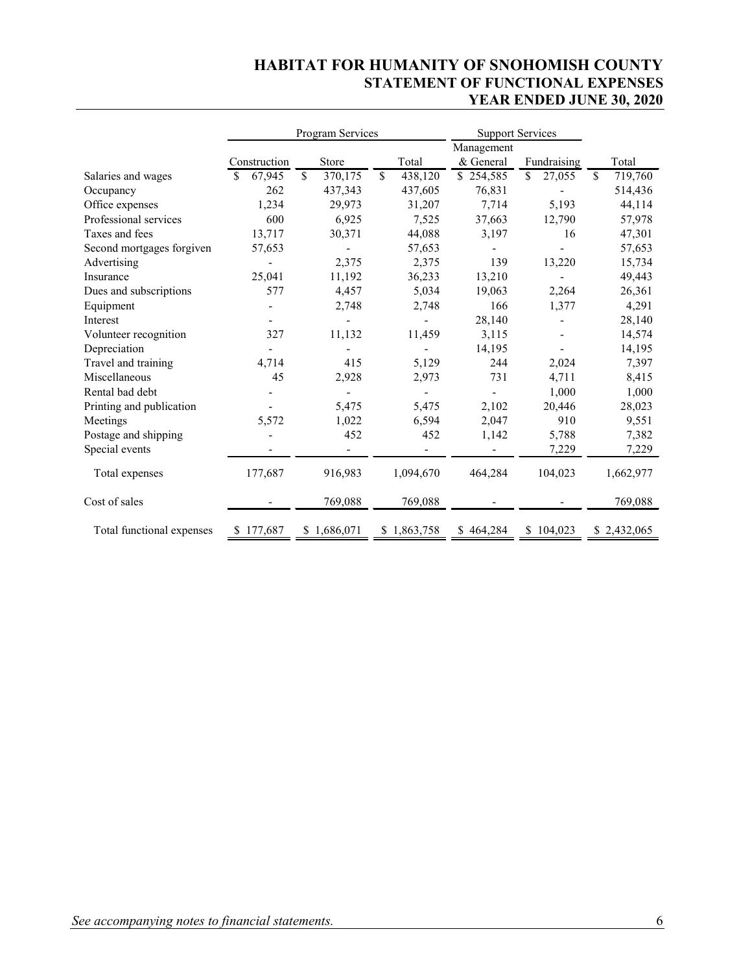## **HABITAT FOR HUMANITY OF SNOHOMISH COUNTY STATEMENT OF FUNCTIONAL EXPENSES YEAR ENDED JUNE 30, 2020**

|                           | Program Services |    | <b>Support Services</b> |               |            |    |             |               |             |
|---------------------------|------------------|----|-------------------------|---------------|------------|----|-------------|---------------|-------------|
|                           |                  |    |                         |               | Management |    |             |               |             |
|                           | Construction     |    | Store                   | Total         | & General  |    | Fundraising |               | Total       |
| Salaries and wages        | 67,945<br>S      | \$ | 370,175                 | \$<br>438,120 | \$254,585  | \$ | 27,055      | <sup>\$</sup> | 719,760     |
| Occupancy                 | 262              |    | 437,343                 | 437,605       | 76,831     |    |             |               | 514,436     |
| Office expenses           | 1,234            |    | 29,973                  | 31,207        | 7,714      |    | 5,193       |               | 44,114      |
| Professional services     | 600              |    | 6,925                   | 7,525         | 37,663     |    | 12,790      |               | 57,978      |
| Taxes and fees            | 13,717           |    | 30,371                  | 44,088        | 3,197      |    | 16          |               | 47,301      |
| Second mortgages forgiven | 57,653           |    |                         | 57,653        |            |    |             |               | 57,653      |
| Advertising               |                  |    | 2,375                   | 2,375         | 139        |    | 13,220      |               | 15,734      |
| Insurance                 | 25,041           |    | 11,192                  | 36,233        | 13,210     |    |             |               | 49,443      |
| Dues and subscriptions    | 577              |    | 4,457                   | 5,034         | 19,063     |    | 2,264       |               | 26,361      |
| Equipment                 |                  |    | 2,748                   | 2,748         | 166        |    | 1,377       |               | 4,291       |
| Interest                  |                  |    |                         |               | 28,140     |    |             |               | 28,140      |
| Volunteer recognition     | 327              |    | 11,132                  | 11,459        | 3,115      |    |             |               | 14,574      |
| Depreciation              |                  |    |                         |               | 14,195     |    |             |               | 14,195      |
| Travel and training       | 4,714            |    | 415                     | 5,129         | 244        |    | 2,024       |               | 7,397       |
| Miscellaneous             | 45               |    | 2,928                   | 2,973         | 731        |    | 4,711       |               | 8,415       |
| Rental bad debt           |                  |    |                         |               |            |    | 1,000       |               | 1,000       |
| Printing and publication  |                  |    | 5,475                   | 5,475         | 2,102      |    | 20,446      |               | 28,023      |
| Meetings                  | 5,572            |    | 1,022                   | 6,594         | 2,047      |    | 910         |               | 9,551       |
| Postage and shipping      |                  |    | 452                     | 452           | 1,142      |    | 5,788       |               | 7,382       |
| Special events            |                  |    |                         |               |            |    | 7,229       |               | 7,229       |
| Total expenses            | 177,687          |    | 916,983                 | 1,094,670     | 464,284    |    | 104,023     |               | 1,662,977   |
| Cost of sales             |                  |    | 769,088                 | 769,088       |            |    |             |               | 769,088     |
| Total functional expenses | 177,687          |    | \$1,686,071             | \$1,863,758   | \$464,284  | S  | 104,023     |               | \$2,432,065 |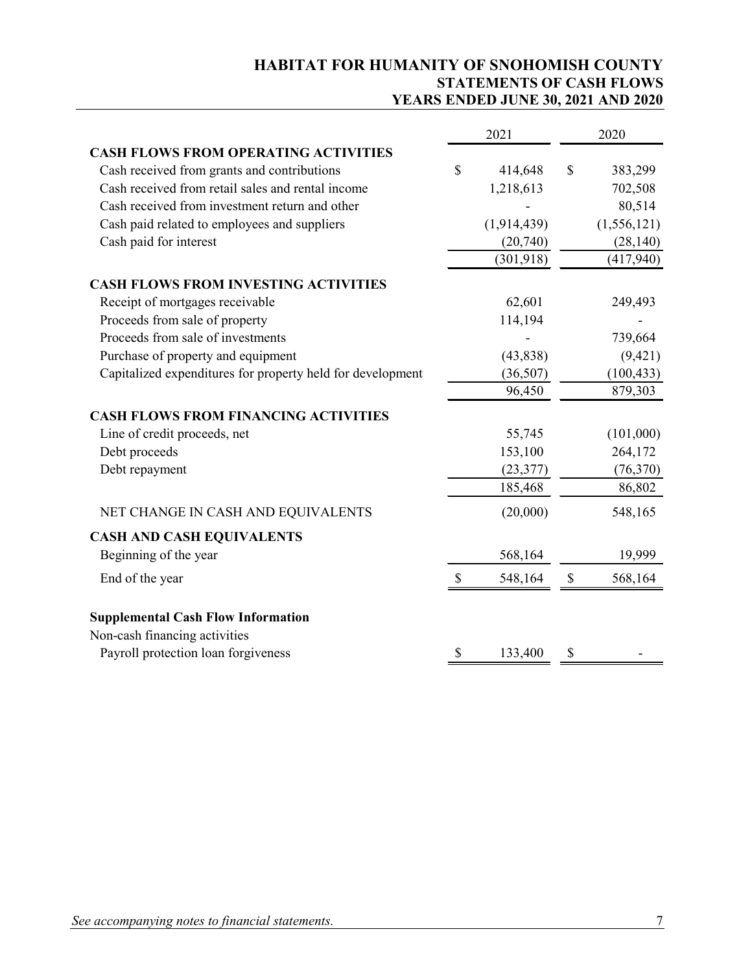## **HABITAT FOR HUMANITY OF SNOHOMISH COUNTY STATEMENTS OF CASH FLOWS YEARS ENDED JUNE 30, 2021 AND 2020**

|                                                            |                           | 2021        |              | 2020        |
|------------------------------------------------------------|---------------------------|-------------|--------------|-------------|
| <b>CASH FLOWS FROM OPERATING ACTIVITIES</b>                |                           |             |              |             |
| Cash received from grants and contributions                | \$                        | 414,648     | $\mathbb{S}$ | 383,299     |
| Cash received from retail sales and rental income          |                           | 1,218,613   |              | 702,508     |
| Cash received from investment return and other             |                           |             |              | 80,514      |
| Cash paid related to employees and suppliers               |                           | (1,914,439) |              | (1,556,121) |
| Cash paid for interest                                     |                           | (20,740)    |              | (28, 140)   |
|                                                            |                           | (301, 918)  |              | (417, 940)  |
| <b>CASH FLOWS FROM INVESTING ACTIVITIES</b>                |                           |             |              |             |
| Receipt of mortgages receivable                            |                           | 62,601      |              | 249,493     |
| Proceeds from sale of property                             |                           | 114,194     |              |             |
| Proceeds from sale of investments                          |                           |             |              | 739,664     |
| Purchase of property and equipment                         |                           | (43,838)    |              | (9, 421)    |
| Capitalized expenditures for property held for development |                           | (36,507)    |              | (100, 433)  |
|                                                            |                           | 96,450      |              | 879,303     |
| <b>CASH FLOWS FROM FINANCING ACTIVITIES</b>                |                           |             |              |             |
| Line of credit proceeds, net                               |                           | 55,745      |              | (101,000)   |
| Debt proceeds                                              |                           | 153,100     |              | 264,172     |
| Debt repayment                                             |                           | (23, 377)   |              | (76, 370)   |
|                                                            |                           | 185,468     |              | 86,802      |
| NET CHANGE IN CASH AND EQUIVALENTS                         |                           | (20,000)    |              | 548,165     |
| <b>CASH AND CASH EQUIVALENTS</b>                           |                           |             |              |             |
| Beginning of the year                                      |                           | 568,164     |              | 19,999      |
| End of the year                                            | $\boldsymbol{\mathsf{S}}$ | 548,164     | \$           | 568,164     |
| <b>Supplemental Cash Flow Information</b>                  |                           |             |              |             |
| Non-cash financing activities                              |                           |             |              |             |
| Payroll protection loan forgiveness                        | \$                        | 133,400     | \$           |             |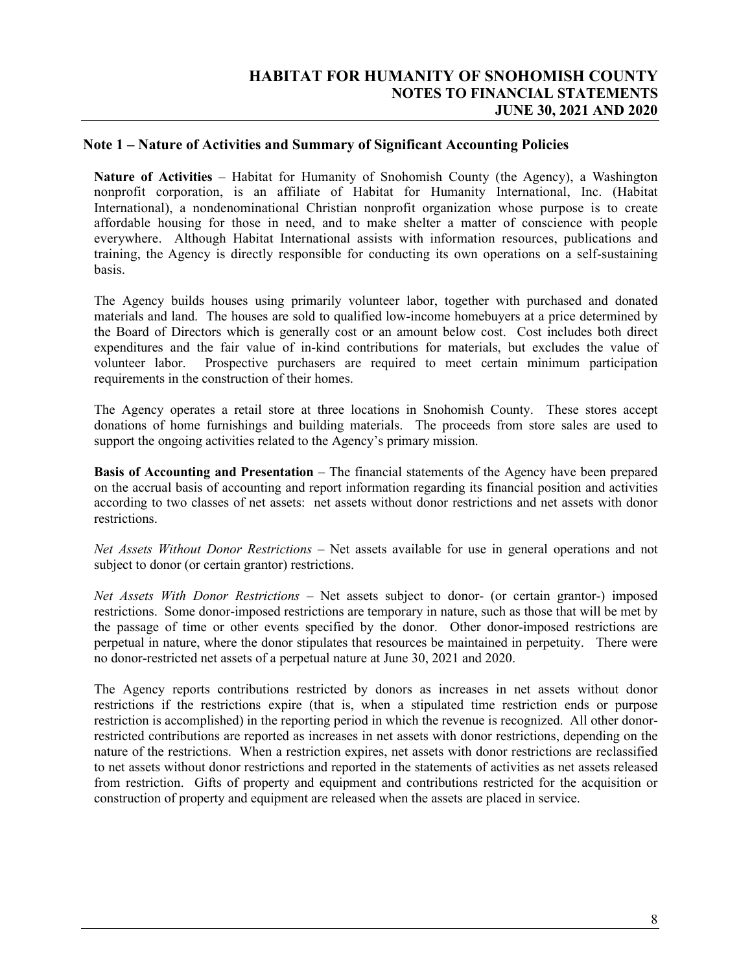#### **Note 1 – Nature of Activities and Summary of Significant Accounting Policies**

**Nature of Activities** – Habitat for Humanity of Snohomish County (the Agency), a Washington nonprofit corporation, is an affiliate of Habitat for Humanity International, Inc. (Habitat International), a nondenominational Christian nonprofit organization whose purpose is to create affordable housing for those in need, and to make shelter a matter of conscience with people everywhere. Although Habitat International assists with information resources, publications and training, the Agency is directly responsible for conducting its own operations on a self-sustaining basis.

The Agency builds houses using primarily volunteer labor, together with purchased and donated materials and land. The houses are sold to qualified low-income homebuyers at a price determined by the Board of Directors which is generally cost or an amount below cost. Cost includes both direct expenditures and the fair value of in-kind contributions for materials, but excludes the value of volunteer labor. Prospective purchasers are required to meet certain minimum participation requirements in the construction of their homes.

The Agency operates a retail store at three locations in Snohomish County. These stores accept donations of home furnishings and building materials. The proceeds from store sales are used to support the ongoing activities related to the Agency's primary mission.

**Basis of Accounting and Presentation** – The financial statements of the Agency have been prepared on the accrual basis of accounting and report information regarding its financial position and activities according to two classes of net assets: net assets without donor restrictions and net assets with donor restrictions.

*Net Assets Without Donor Restrictions* – Net assets available for use in general operations and not subject to donor (or certain grantor) restrictions.

*Net Assets With Donor Restrictions* – Net assets subject to donor- (or certain grantor-) imposed restrictions. Some donor-imposed restrictions are temporary in nature, such as those that will be met by the passage of time or other events specified by the donor. Other donor-imposed restrictions are perpetual in nature, where the donor stipulates that resources be maintained in perpetuity. There were no donor-restricted net assets of a perpetual nature at June 30, 2021 and 2020.

The Agency reports contributions restricted by donors as increases in net assets without donor restrictions if the restrictions expire (that is, when a stipulated time restriction ends or purpose restriction is accomplished) in the reporting period in which the revenue is recognized. All other donorrestricted contributions are reported as increases in net assets with donor restrictions, depending on the nature of the restrictions. When a restriction expires, net assets with donor restrictions are reclassified to net assets without donor restrictions and reported in the statements of activities as net assets released from restriction. Gifts of property and equipment and contributions restricted for the acquisition or construction of property and equipment are released when the assets are placed in service.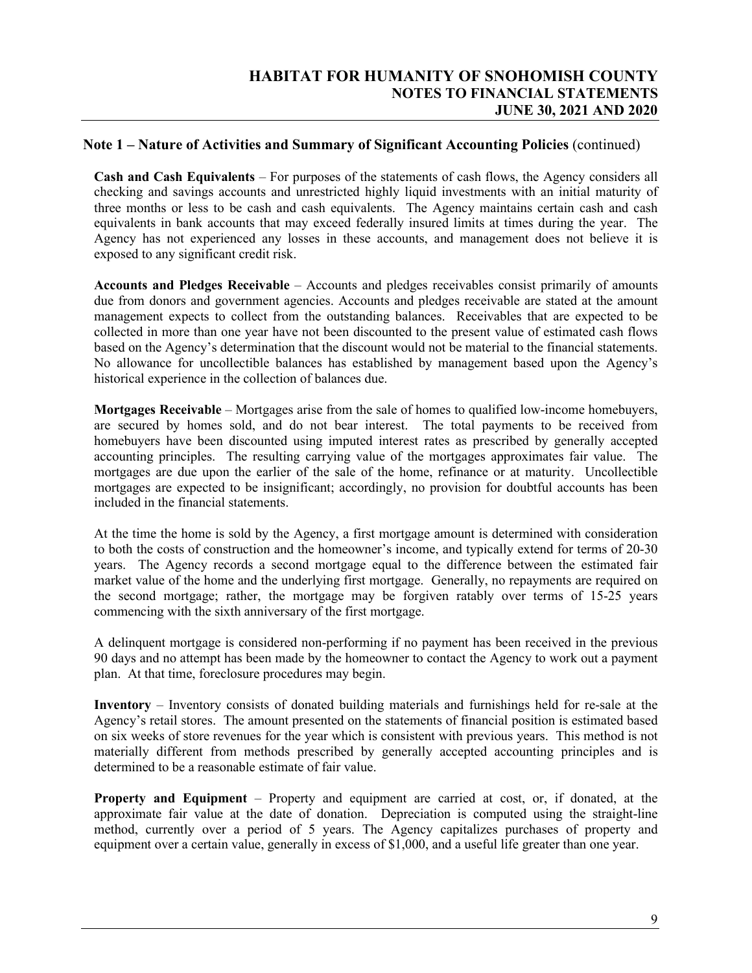### **Note 1 – Nature of Activities and Summary of Significant Accounting Policies** (continued)

**Cash and Cash Equivalents** – For purposes of the statements of cash flows, the Agency considers all checking and savings accounts and unrestricted highly liquid investments with an initial maturity of three months or less to be cash and cash equivalents. The Agency maintains certain cash and cash equivalents in bank accounts that may exceed federally insured limits at times during the year. The Agency has not experienced any losses in these accounts, and management does not believe it is exposed to any significant credit risk.

**Accounts and Pledges Receivable** – Accounts and pledges receivables consist primarily of amounts due from donors and government agencies. Accounts and pledges receivable are stated at the amount management expects to collect from the outstanding balances. Receivables that are expected to be collected in more than one year have not been discounted to the present value of estimated cash flows based on the Agency's determination that the discount would not be material to the financial statements. No allowance for uncollectible balances has established by management based upon the Agency's historical experience in the collection of balances due.

**Mortgages Receivable** – Mortgages arise from the sale of homes to qualified low-income homebuyers, are secured by homes sold, and do not bear interest. The total payments to be received from homebuyers have been discounted using imputed interest rates as prescribed by generally accepted accounting principles. The resulting carrying value of the mortgages approximates fair value. The mortgages are due upon the earlier of the sale of the home, refinance or at maturity. Uncollectible mortgages are expected to be insignificant; accordingly, no provision for doubtful accounts has been included in the financial statements.

At the time the home is sold by the Agency, a first mortgage amount is determined with consideration to both the costs of construction and the homeowner's income, and typically extend for terms of 20-30 years. The Agency records a second mortgage equal to the difference between the estimated fair market value of the home and the underlying first mortgage. Generally, no repayments are required on the second mortgage; rather, the mortgage may be forgiven ratably over terms of 15-25 years commencing with the sixth anniversary of the first mortgage.

A delinquent mortgage is considered non-performing if no payment has been received in the previous 90 days and no attempt has been made by the homeowner to contact the Agency to work out a payment plan. At that time, foreclosure procedures may begin.

**Inventory** – Inventory consists of donated building materials and furnishings held for re-sale at the Agency's retail stores. The amount presented on the statements of financial position is estimated based on six weeks of store revenues for the year which is consistent with previous years. This method is not materially different from methods prescribed by generally accepted accounting principles and is determined to be a reasonable estimate of fair value.

**Property and Equipment** – Property and equipment are carried at cost, or, if donated, at the approximate fair value at the date of donation. Depreciation is computed using the straight-line method, currently over a period of 5 years. The Agency capitalizes purchases of property and equipment over a certain value, generally in excess of \$1,000, and a useful life greater than one year.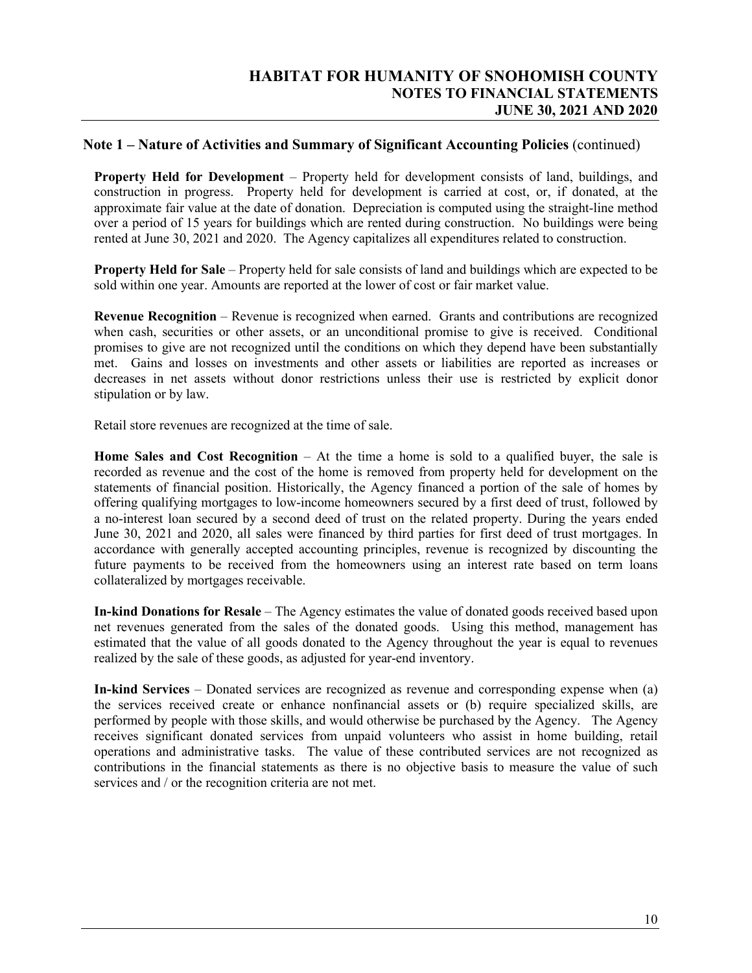#### **Note 1 – Nature of Activities and Summary of Significant Accounting Policies** (continued)

**Property Held for Development** – Property held for development consists of land, buildings, and construction in progress. Property held for development is carried at cost, or, if donated, at the approximate fair value at the date of donation. Depreciation is computed using the straight-line method over a period of 15 years for buildings which are rented during construction. No buildings were being rented at June 30, 2021 and 2020. The Agency capitalizes all expenditures related to construction.

**Property Held for Sale** – Property held for sale consists of land and buildings which are expected to be sold within one year. Amounts are reported at the lower of cost or fair market value.

**Revenue Recognition** – Revenue is recognized when earned. Grants and contributions are recognized when cash, securities or other assets, or an unconditional promise to give is received. Conditional promises to give are not recognized until the conditions on which they depend have been substantially met. Gains and losses on investments and other assets or liabilities are reported as increases or decreases in net assets without donor restrictions unless their use is restricted by explicit donor stipulation or by law.

Retail store revenues are recognized at the time of sale.

**Home Sales and Cost Recognition** – At the time a home is sold to a qualified buyer, the sale is recorded as revenue and the cost of the home is removed from property held for development on the statements of financial position. Historically, the Agency financed a portion of the sale of homes by offering qualifying mortgages to low-income homeowners secured by a first deed of trust, followed by a no-interest loan secured by a second deed of trust on the related property. During the years ended June 30, 2021 and 2020, all sales were financed by third parties for first deed of trust mortgages. In accordance with generally accepted accounting principles, revenue is recognized by discounting the future payments to be received from the homeowners using an interest rate based on term loans collateralized by mortgages receivable.

**In-kind Donations for Resale** – The Agency estimates the value of donated goods received based upon net revenues generated from the sales of the donated goods. Using this method, management has estimated that the value of all goods donated to the Agency throughout the year is equal to revenues realized by the sale of these goods, as adjusted for year-end inventory.

**In-kind Services** – Donated services are recognized as revenue and corresponding expense when (a) the services received create or enhance nonfinancial assets or (b) require specialized skills, are performed by people with those skills, and would otherwise be purchased by the Agency. The Agency receives significant donated services from unpaid volunteers who assist in home building, retail operations and administrative tasks. The value of these contributed services are not recognized as contributions in the financial statements as there is no objective basis to measure the value of such services and / or the recognition criteria are not met.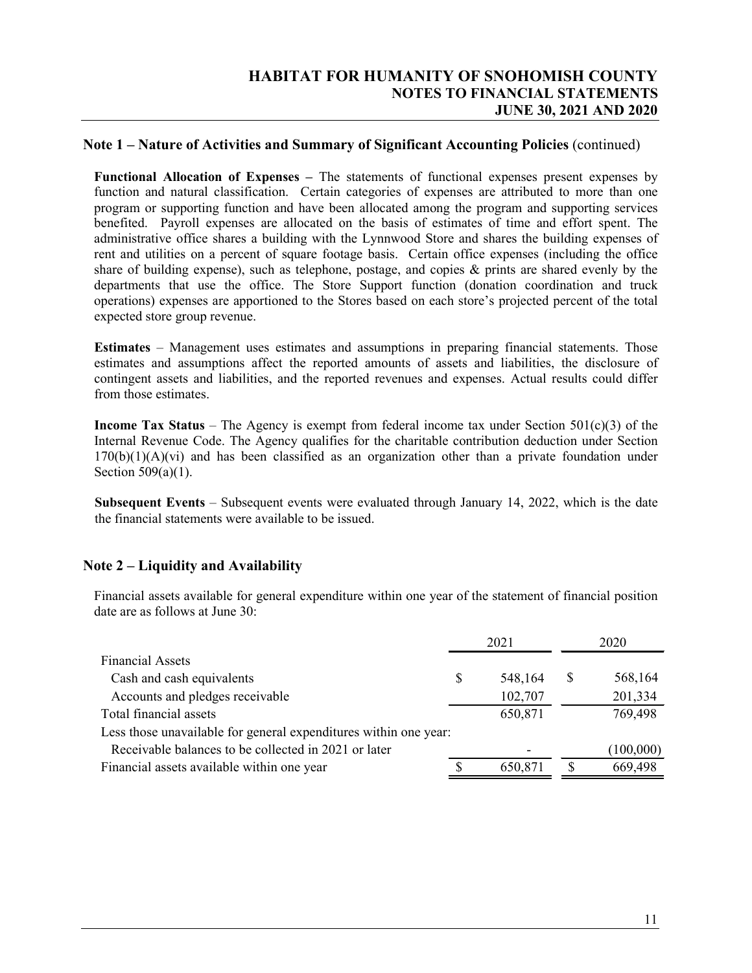#### **Note 1 – Nature of Activities and Summary of Significant Accounting Policies** (continued)

**Functional Allocation of Expenses –** The statements of functional expenses present expenses by function and natural classification. Certain categories of expenses are attributed to more than one program or supporting function and have been allocated among the program and supporting services benefited. Payroll expenses are allocated on the basis of estimates of time and effort spent. The administrative office shares a building with the Lynnwood Store and shares the building expenses of rent and utilities on a percent of square footage basis. Certain office expenses (including the office share of building expense), such as telephone, postage, and copies & prints are shared evenly by the departments that use the office. The Store Support function (donation coordination and truck operations) expenses are apportioned to the Stores based on each store's projected percent of the total expected store group revenue.

**Estimates** – Management uses estimates and assumptions in preparing financial statements. Those estimates and assumptions affect the reported amounts of assets and liabilities, the disclosure of contingent assets and liabilities, and the reported revenues and expenses. Actual results could differ from those estimates.

**Income Tax Status** – The Agency is exempt from federal income tax under Section 501(c)(3) of the Internal Revenue Code. The Agency qualifies for the charitable contribution deduction under Section  $170(b)(1)(A)(vi)$  and has been classified as an organization other than a private foundation under Section 509(a)(1).

**Subsequent Events** – Subsequent events were evaluated through January 14, 2022, which is the date the financial statements were available to be issued.

#### **Note 2 – Liquidity and Availability**

Financial assets available for general expenditure within one year of the statement of financial position date are as follows at June 30:

|                                                                  |   | 2021    | 2020     |           |
|------------------------------------------------------------------|---|---------|----------|-----------|
| <b>Financial Assets</b>                                          |   |         |          |           |
| Cash and cash equivalents                                        | S | 548,164 | S        | 568,164   |
| Accounts and pledges receivable                                  |   | 102,707 |          | 201,334   |
| Total financial assets                                           |   | 650,871 |          | 769,498   |
| Less those unavailable for general expenditures within one year: |   |         |          |           |
| Receivable balances to be collected in 2021 or later             |   |         |          | (100,000) |
| Financial assets available within one year                       |   | 650,871 | <b>S</b> | 669,498   |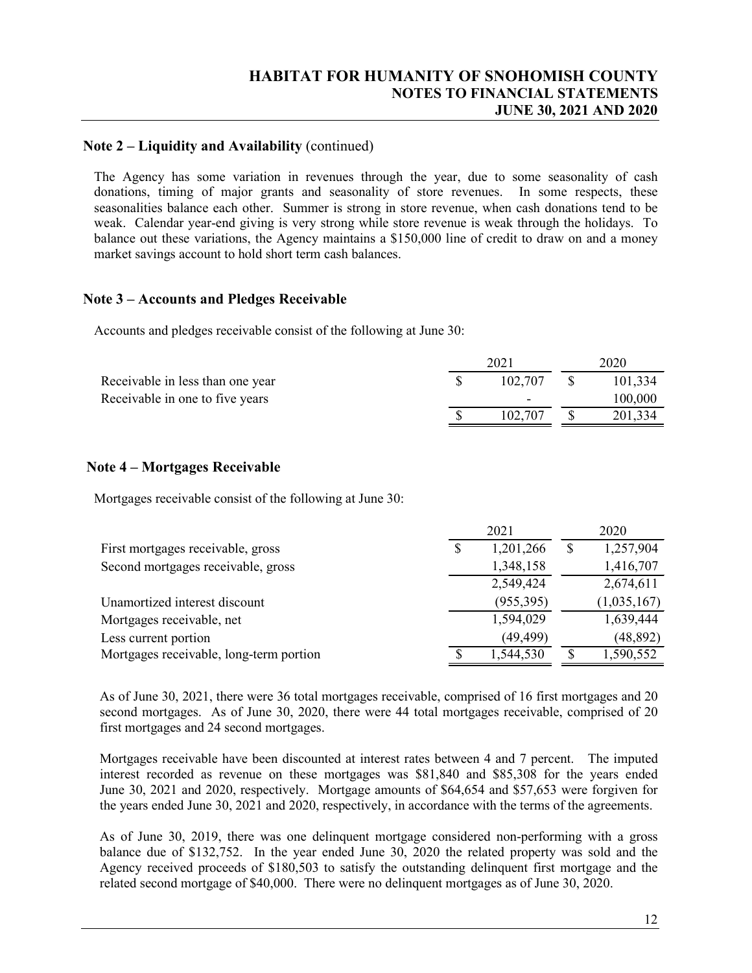### **Note 2 – Liquidity and Availability** (continued)

The Agency has some variation in revenues through the year, due to some seasonality of cash donations, timing of major grants and seasonality of store revenues. In some respects, these seasonalities balance each other. Summer is strong in store revenue, when cash donations tend to be weak. Calendar year-end giving is very strong while store revenue is weak through the holidays. To balance out these variations, the Agency maintains a \$150,000 line of credit to draw on and a money market savings account to hold short term cash balances.

#### **Note 3 – Accounts and Pledges Receivable**

Accounts and pledges receivable consist of the following at June 30:

|                          | 2020               |         |  |
|--------------------------|--------------------|---------|--|
|                          |                    | 101.334 |  |
| $\overline{\phantom{0}}$ |                    | 100,000 |  |
|                          |                    | 201,334 |  |
|                          | 102.707<br>102.707 |         |  |

### **Note 4 – Mortgages Receivable**

Mortgages receivable consist of the following at June 30:

|                                         | 2021 |            |    | 2020        |  |  |
|-----------------------------------------|------|------------|----|-------------|--|--|
| First mortgages receivable, gross       | \$   | 1,201,266  | \$ | 1,257,904   |  |  |
| Second mortgages receivable, gross      |      | 1,348,158  |    | 1,416,707   |  |  |
|                                         |      | 2,549,424  |    | 2,674,611   |  |  |
| Unamortized interest discount           |      | (955, 395) |    | (1,035,167) |  |  |
| Mortgages receivable, net               |      | 1,594,029  |    | 1,639,444   |  |  |
| Less current portion                    |      | (49, 499)  |    | (48, 892)   |  |  |
| Mortgages receivable, long-term portion |      | 1,544,530  |    | 1,590,552   |  |  |

As of June 30, 2021, there were 36 total mortgages receivable, comprised of 16 first mortgages and 20 second mortgages. As of June 30, 2020, there were 44 total mortgages receivable, comprised of 20 first mortgages and 24 second mortgages.

Mortgages receivable have been discounted at interest rates between 4 and 7 percent. The imputed interest recorded as revenue on these mortgages was \$81,840 and \$85,308 for the years ended June 30, 2021 and 2020, respectively. Mortgage amounts of \$64,654 and \$57,653 were forgiven for the years ended June 30, 2021 and 2020, respectively, in accordance with the terms of the agreements.

As of June 30, 2019, there was one delinquent mortgage considered non-performing with a gross balance due of \$132,752. In the year ended June 30, 2020 the related property was sold and the Agency received proceeds of \$180,503 to satisfy the outstanding delinquent first mortgage and the related second mortgage of \$40,000. There were no delinquent mortgages as of June 30, 2020.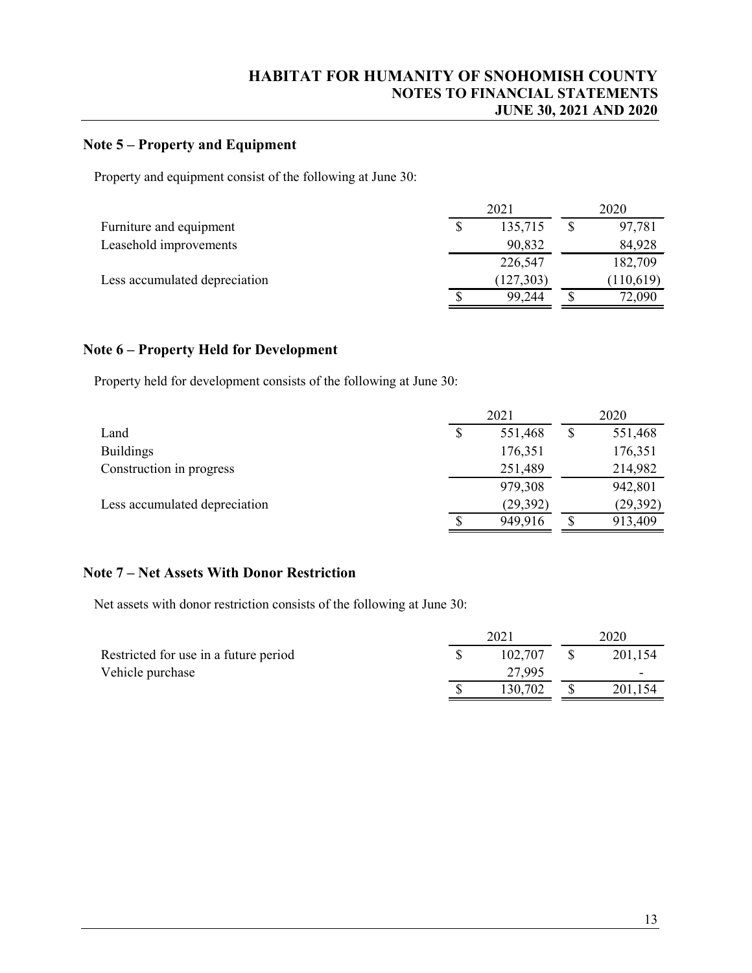## **Note 5 – Property and Equipment**

Property and equipment consist of the following at June 30:

|                               | 2021 |            |   | 2020      |  |  |
|-------------------------------|------|------------|---|-----------|--|--|
| Furniture and equipment       |      | 135,715    |   | 97,781    |  |  |
| Leasehold improvements        |      | 90,832     |   | 84,928    |  |  |
|                               |      | 226,547    |   | 182,709   |  |  |
| Less accumulated depreciation |      | (127, 303) |   | (110,619) |  |  |
|                               |      | 99.244     | S | 72,090    |  |  |

### **Note 6 – Property Held for Development**

Property held for development consists of the following at June 30:

|                               |    | 2021      |    |           |
|-------------------------------|----|-----------|----|-----------|
| Land                          | \$ | 551,468   | \$ | 551,468   |
| <b>Buildings</b>              |    | 176,351   |    | 176,351   |
| Construction in progress      |    | 251,489   |    | 214,982   |
|                               |    | 979,308   |    | 942,801   |
| Less accumulated depreciation |    | (29, 392) |    | (29, 392) |
|                               | ╓  | 949,916   | \$ | 913,409   |

#### **Note 7 – Net Assets With Donor Restriction**

Net assets with donor restriction consists of the following at June 30:

|                                       | 2021 |         | 2020    |
|---------------------------------------|------|---------|---------|
| Restricted for use in a future period |      | 102.707 | 201,154 |
| Vehicle purchase                      |      | 27,995  |         |
|                                       |      | 130,702 | 201,154 |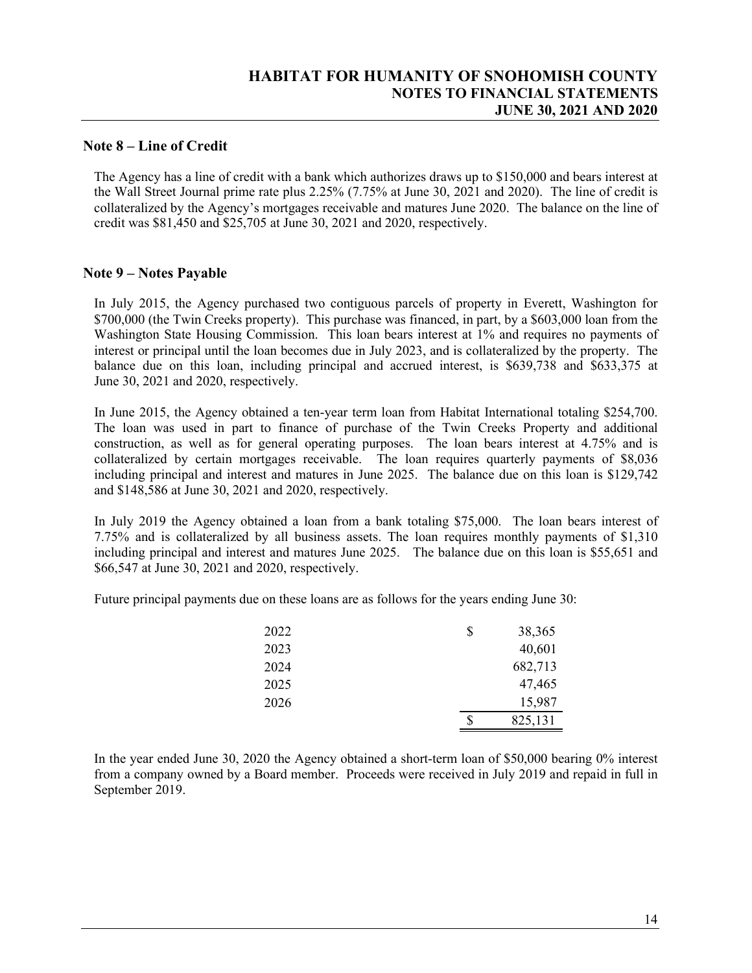#### **Note 8 – Line of Credit**

The Agency has a line of credit with a bank which authorizes draws up to \$150,000 and bears interest at the Wall Street Journal prime rate plus 2.25% (7.75% at June 30, 2021 and 2020). The line of credit is collateralized by the Agency's mortgages receivable and matures June 2020. The balance on the line of credit was \$81,450 and \$25,705 at June 30, 2021 and 2020, respectively.

#### **Note 9 – Notes Payable**

In July 2015, the Agency purchased two contiguous parcels of property in Everett, Washington for \$700,000 (the Twin Creeks property). This purchase was financed, in part, by a \$603,000 loan from the Washington State Housing Commission. This loan bears interest at 1% and requires no payments of interest or principal until the loan becomes due in July 2023, and is collateralized by the property. The balance due on this loan, including principal and accrued interest, is \$639,738 and \$633,375 at June 30, 2021 and 2020, respectively.

In June 2015, the Agency obtained a ten-year term loan from Habitat International totaling \$254,700. The loan was used in part to finance of purchase of the Twin Creeks Property and additional construction, as well as for general operating purposes. The loan bears interest at 4.75% and is collateralized by certain mortgages receivable. The loan requires quarterly payments of \$8,036 including principal and interest and matures in June 2025. The balance due on this loan is \$129,742 and \$148,586 at June 30, 2021 and 2020, respectively.

In July 2019 the Agency obtained a loan from a bank totaling \$75,000. The loan bears interest of 7.75% and is collateralized by all business assets. The loan requires monthly payments of \$1,310 including principal and interest and matures June 2025. The balance due on this loan is \$55,651 and \$66,547 at June 30, 2021 and 2020, respectively.

Future principal payments due on these loans are as follows for the years ending June 30:

| 2026         | 15,987<br>825,131      |
|--------------|------------------------|
| 2024<br>2025 | 682,713<br>47,465      |
| 2022<br>2023 | \$<br>38,365<br>40,601 |

In the year ended June 30, 2020 the Agency obtained a short-term loan of \$50,000 bearing 0% interest from a company owned by a Board member. Proceeds were received in July 2019 and repaid in full in September 2019.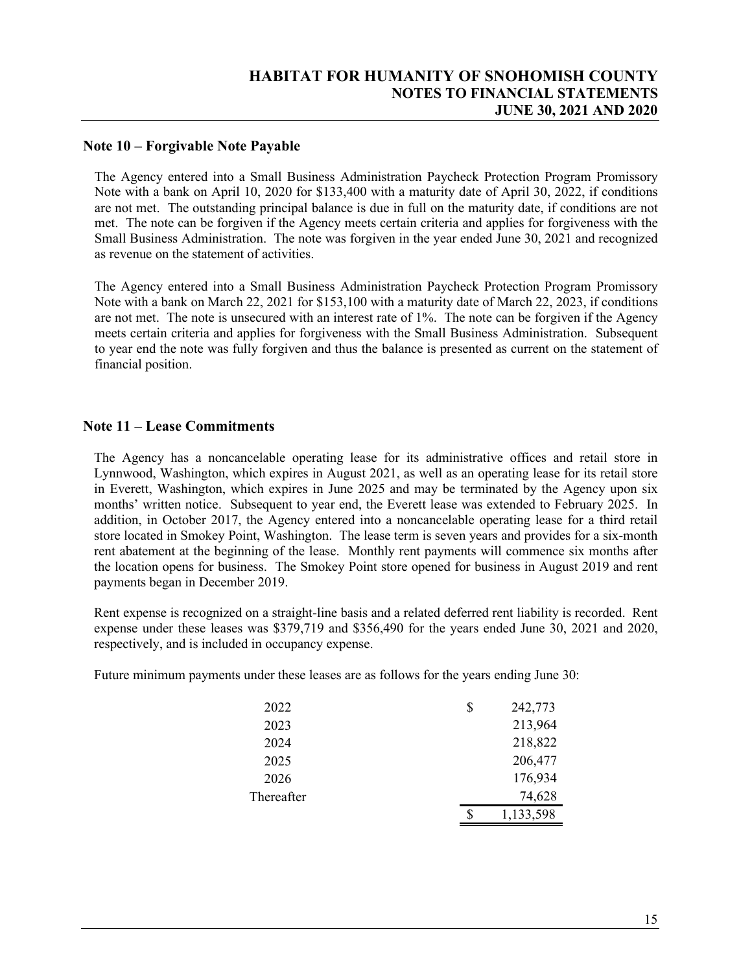### **Note 10 – Forgivable Note Payable**

The Agency entered into a Small Business Administration Paycheck Protection Program Promissory Note with a bank on April 10, 2020 for \$133,400 with a maturity date of April 30, 2022, if conditions are not met. The outstanding principal balance is due in full on the maturity date, if conditions are not met. The note can be forgiven if the Agency meets certain criteria and applies for forgiveness with the Small Business Administration. The note was forgiven in the year ended June 30, 2021 and recognized as revenue on the statement of activities.

The Agency entered into a Small Business Administration Paycheck Protection Program Promissory Note with a bank on March 22, 2021 for \$153,100 with a maturity date of March 22, 2023, if conditions are not met. The note is unsecured with an interest rate of 1%. The note can be forgiven if the Agency meets certain criteria and applies for forgiveness with the Small Business Administration. Subsequent to year end the note was fully forgiven and thus the balance is presented as current on the statement of financial position.

#### **Note 11 – Lease Commitments**

The Agency has a noncancelable operating lease for its administrative offices and retail store in Lynnwood, Washington, which expires in August 2021, as well as an operating lease for its retail store in Everett, Washington, which expires in June 2025 and may be terminated by the Agency upon six months' written notice. Subsequent to year end, the Everett lease was extended to February 2025. In addition, in October 2017, the Agency entered into a noncancelable operating lease for a third retail store located in Smokey Point, Washington. The lease term is seven years and provides for a six-month rent abatement at the beginning of the lease. Monthly rent payments will commence six months after the location opens for business. The Smokey Point store opened for business in August 2019 and rent payments began in December 2019.

Rent expense is recognized on a straight-line basis and a related deferred rent liability is recorded. Rent expense under these leases was \$379,719 and \$356,490 for the years ended June 30, 2021 and 2020, respectively, and is included in occupancy expense.

Future minimum payments under these leases are as follows for the years ending June 30:

| 2022       | S | 242,773   |
|------------|---|-----------|
| 2023       |   | 213,964   |
| 2024       |   | 218,822   |
| 2025       |   | 206,477   |
| 2026       |   | 176,934   |
| Thereafter |   | 74,628    |
|            |   | 1,133,598 |